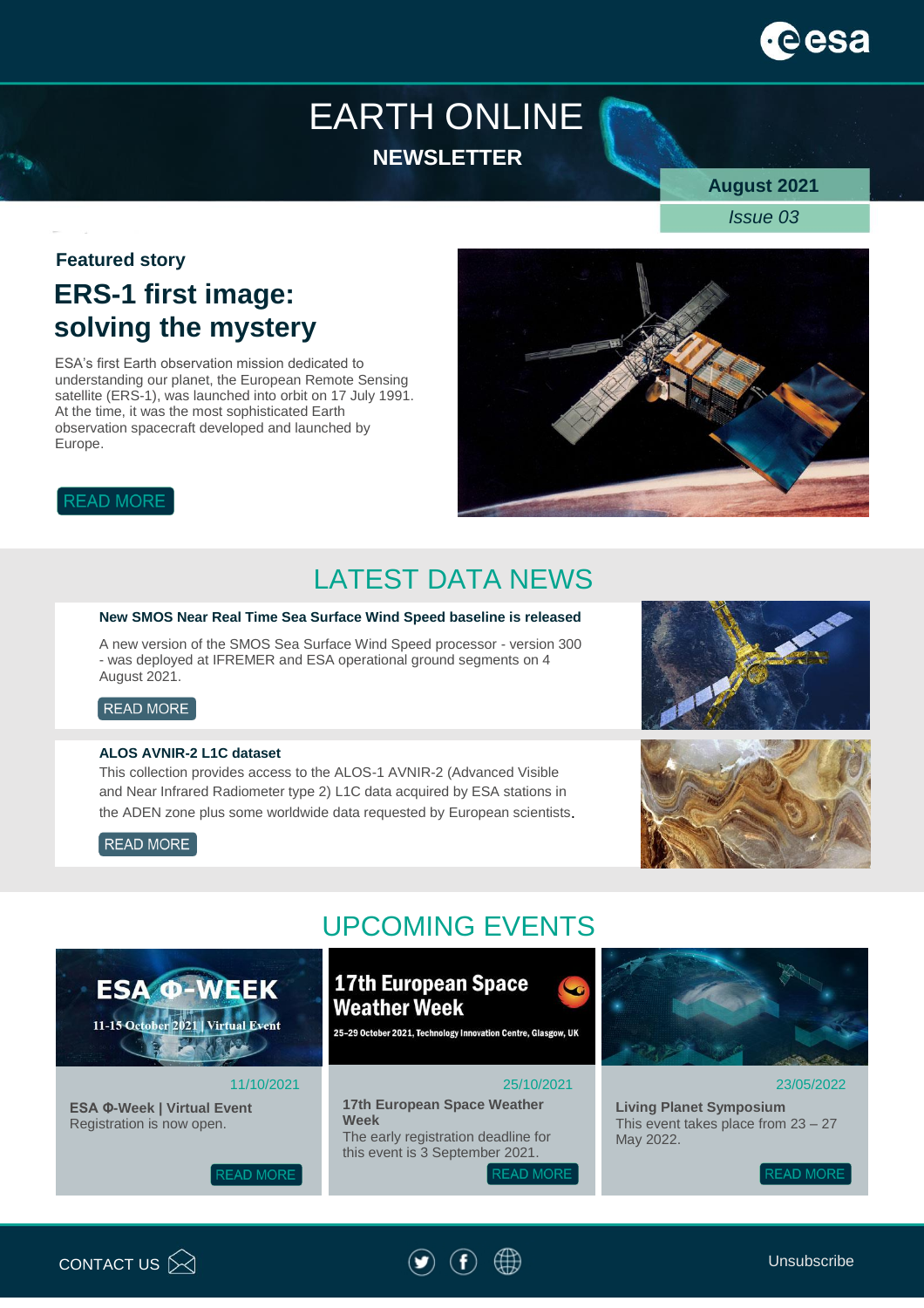# ees

## EARTH ONLINE **NEWSLETTER**

**August 2021**

*Issue 03*

#### **Featured story**

### **ERS-1 first image: solving the mystery**

ESA's first Earth observation mission dedicated to understanding our planet, the European Remote Sensing satellite (ERS-1), was launched into orbit on 17 July 1991. At the time, it was the most sophisticated Earth observation spacecraft developed and launched by Europe.



#### **READ MORE**

### LATEST DATA NEWS

#### **New SMOS Near Real Time Sea Surface Wind Speed baseline is released**

A new version of the SMOS Sea Surface Wind Speed processor - version 300 - was deployed at IFREMER and ESA operational ground segments on 4 August 2021.

#### READ MORE

#### **ALOS AVNIR-2 L1C dataset**

**ESA @-WEEK** 

11-15 October 2021 | Virtual Event

This collection provides access to the ALOS-1 AVNIR-2 (Advanced Visible and Near Infrared Radiometer type 2) L1C data acquired by ESA stations in the ADEN zone plus some worldwide data requested by European scientists.







### UPCOMING EVENTS

### **17th European Space Weather Week**

25-29 October 2021, Technology Innovation Centre, Glasgow, UK

#### 25/10/2021

**17th European Space Weather Week**  The early registration deadline for this event is 3 September 2021.

**READ MORE** 



#### 23/05/2022

**Living Planet Symposium** This event takes place from 23 – 27 May 2022.

**READ MORE** 



11/10/2021



**ESA Φ-Week | Virtual Event** Registration is now open.